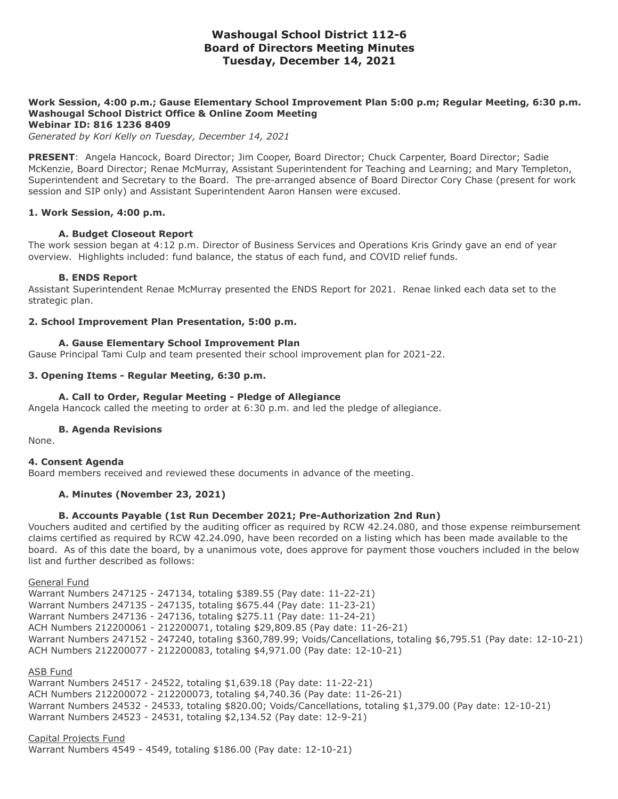# **Washougal School District 112-6 Board of Directors Meeting Minutes Tuesday, December 14, 2021**

# **Work Session, 4:00 p.m.; Gause Elementary School Improvement Plan 5:00 p.m; Regular Meeting, 6:30 p.m. Washougal School District Office & Online Zoom Meeting**

**Webinar ID: 816 1236 8409**

*Generated by Kori Kelly on Tuesday, December 14, 2021*

**PRESENT**: Angela Hancock, Board Director; Jim Cooper, Board Director; Chuck Carpenter, Board Director; Sadie McKenzie, Board Director; Renae McMurray, Assistant Superintendent for Teaching and Learning; and Mary Templeton, Superintendent and Secretary to the Board. The pre-arranged absence of Board Director Cory Chase (present for work session and SIP only) and Assistant Superintendent Aaron Hansen were excused.

## **1. Work Session, 4:00 p.m.**

#### **A. Budget Closeout Report**

The work session began at 4:12 p.m. Director of Business Services and Operations Kris Grindy gave an end of year overview. Highlights included: fund balance, the status of each fund, and COVID relief funds.

#### **B. ENDS Report**

Assistant Superintendent Renae McMurray presented the ENDS Report for 2021. Renae linked each data set to the strategic plan.

## **2. School Improvement Plan Presentation, 5:00 p.m.**

## **A. Gause Elementary School Improvement Plan**

Gause Principal Tami Culp and team presented their school improvement plan for 2021-22.

## **3. Opening Items - Regular Meeting, 6:30 p.m.**

## **A. Call to Order, Regular Meeting - Pledge of Allegiance**

Angela Hancock called the meeting to order at 6:30 p.m. and led the pledge of allegiance.

#### **B. Agenda Revisions**

None.

#### **4. Consent Agenda**

Board members received and reviewed these documents in advance of the meeting.

#### **A. Minutes (November 23, 2021)**

## **B. Accounts Payable (1st Run December 2021; Pre-Authorization 2nd Run)**

Vouchers audited and certified by the auditing officer as required by RCW 42.24.080, and those expense reimbursement claims certified as required by RCW 42.24.090, have been recorded on a listing which has been made available to the board. As of this date the board, by a unanimous vote, does approve for payment those vouchers included in the below list and further described as follows:

General Fund

Warrant Numbers 247125 - 247134, totaling \$389.55 (Pay date: 11-22-21) Warrant Numbers 247135 - 247135, totaling \$675.44 (Pay date: 11-23-21) Warrant Numbers 247136 - 247136, totaling \$275.11 (Pay date: 11-24-21) ACH Numbers 212200061 - 212200071, totaling \$29,809.85 (Pay date: 11-26-21) Warrant Numbers 247152 - 247240, totaling \$360,789.99; Voids/Cancellations, totaling \$6,795.51 (Pay date: 12-10-21) ACH Numbers 212200077 - 212200083, totaling \$4,971.00 (Pay date: 12-10-21)

## ASB Fund

Warrant Numbers 24517 - 24522, totaling \$1,639.18 (Pay date: 11-22-21) ACH Numbers 212200072 - 212200073, totaling \$4,740.36 (Pay date: 11-26-21) Warrant Numbers 24532 - 24533, totaling \$820.00; Voids/Cancellations, totaling \$1,379.00 (Pay date: 12-10-21) Warrant Numbers 24523 - 24531, totaling \$2,134.52 (Pay date: 12-9-21)

Capital Projects Fund Warrant Numbers 4549 - 4549, totaling \$186.00 (Pay date: 12-10-21)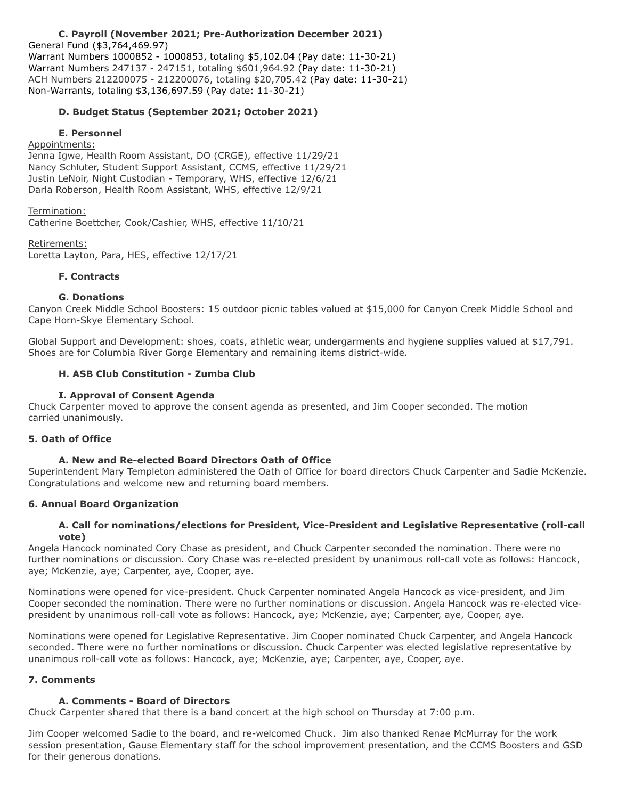## **C. Payroll (November 2021; Pre-Authorization December 2021)**

General Fund (\$3,764,469.97) Warrant Numbers 1000852 - 1000853, totaling \$5,102.04 (Pay date: 11-30-21) Warrant Numbers 247137 - 247151, totaling \$601,964.92 (Pay date: 11-30-21) ACH Numbers 212200075 - 212200076, totaling \$20,705.42 (Pay date: 11-30-21) Non-Warrants, totaling \$3,136,697.59 (Pay date: 11-30-21)

## **D. Budget Status (September 2021; October 2021)**

#### **E. Personnel**

# Appointments:

Jenna Igwe, Health Room Assistant, DO (CRGE), effective 11/29/21 Nancy Schluter, Student Support Assistant, CCMS, effective 11/29/21 Justin LeNoir, Night Custodian - Temporary, WHS, effective 12/6/21 Darla Roberson, Health Room Assistant, WHS, effective 12/9/21

## Termination:

Catherine Boettcher, Cook/Cashier, WHS, effective 11/10/21

## Retirements:

Loretta Layton, Para, HES, effective 12/17/21

## **F. Contracts**

#### **G. Donations**

Canyon Creek Middle School Boosters: 15 outdoor picnic tables valued at \$15,000 for Canyon Creek Middle School and Cape Horn-Skye Elementary School.

Global Support and Development: shoes, coats, athletic wear, undergarments and hygiene supplies valued at \$17,791. Shoes are for Columbia River Gorge Elementary and remaining items district-wide.

## **H. ASB Club Constitution - Zumba Club**

## **I. Approval of Consent Agenda**

Chuck Carpenter moved to approve the consent agenda as presented, and Jim Cooper seconded. The motion carried unanimously.

## **5. Oath of Office**

## **A. New and Re-elected Board Directors Oath of Office**

Superintendent Mary Templeton administered the Oath of Office for board directors Chuck Carpenter and Sadie McKenzie. Congratulations and welcome new and returning board members.

## **6. Annual Board Organization**

## **A. Call for nominations/elections for President, Vice-President and Legislative Representative (roll-call vote)**

Angela Hancock nominated Cory Chase as president, and Chuck Carpenter seconded the nomination. There were no further nominations or discussion. Cory Chase was re-elected president by unanimous roll-call vote as follows: Hancock, aye; McKenzie, aye; Carpenter, aye, Cooper, aye.

Nominations were opened for vice-president. Chuck Carpenter nominated Angela Hancock as vice-president, and Jim Cooper seconded the nomination. There were no further nominations or discussion. Angela Hancock was re-elected vicepresident by unanimous roll-call vote as follows: Hancock, aye; McKenzie, aye; Carpenter, aye, Cooper, aye.

Nominations were opened for Legislative Representative. Jim Cooper nominated Chuck Carpenter, and Angela Hancock seconded. There were no further nominations or discussion. Chuck Carpenter was elected legislative representative by unanimous roll-call vote as follows: Hancock, aye; McKenzie, aye; Carpenter, aye, Cooper, aye.

## **7. Comments**

#### **A. Comments - Board of Directors**

Chuck Carpenter shared that there is a band concert at the high school on Thursday at 7:00 p.m.

Jim Cooper welcomed Sadie to the board, and re-welcomed Chuck. Jim also thanked Renae McMurray for the work session presentation, Gause Elementary staff for the school improvement presentation, and the CCMS Boosters and GSD for their generous donations.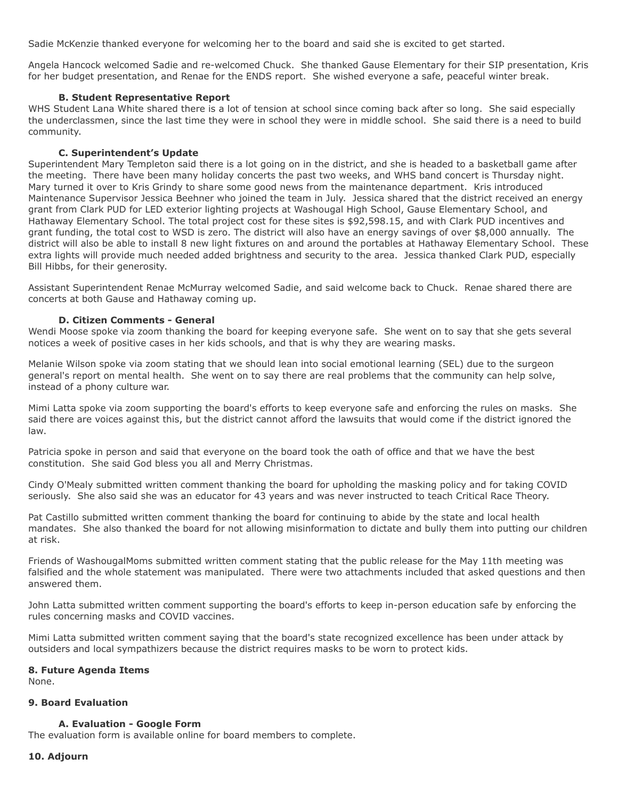Sadie McKenzie thanked everyone for welcoming her to the board and said she is excited to get started.

Angela Hancock welcomed Sadie and re-welcomed Chuck. She thanked Gause Elementary for their SIP presentation, Kris for her budget presentation, and Renae for the ENDS report. She wished everyone a safe, peaceful winter break.

## **B. Student Representative Report**

WHS Student Lana White shared there is a lot of tension at school since coming back after so long. She said especially the underclassmen, since the last time they were in school they were in middle school. She said there is a need to build community.

## **C. Superintendent's Update**

Superintendent Mary Templeton said there is a lot going on in the district, and she is headed to a basketball game after the meeting. There have been many holiday concerts the past two weeks, and WHS band concert is Thursday night. Mary turned it over to Kris Grindy to share some good news from the maintenance department. Kris introduced Maintenance Supervisor Jessica Beehner who joined the team in July. Jessica shared that the district received an energy grant from Clark PUD for LED exterior lighting projects at Washougal High School, Gause Elementary School, and Hathaway Elementary School. The total project cost for these sites is \$92,598.15, and with Clark PUD incentives and grant funding, the total cost to WSD is zero. The district will also have an energy savings of over \$8,000 annually. The district will also be able to install 8 new light fixtures on and around the portables at Hathaway Elementary School. These extra lights will provide much needed added brightness and security to the area. Jessica thanked Clark PUD, especially Bill Hibbs, for their generosity.

Assistant Superintendent Renae McMurray welcomed Sadie, and said welcome back to Chuck. Renae shared there are concerts at both Gause and Hathaway coming up.

## **D. Citizen Comments - General**

Wendi Moose spoke via zoom thanking the board for keeping everyone safe. She went on to say that she gets several notices a week of positive cases in her kids schools, and that is why they are wearing masks.

Melanie Wilson spoke via zoom stating that we should lean into social emotional learning (SEL) due to the surgeon general's report on mental health. She went on to say there are real problems that the community can help solve, instead of a phony culture war.

Mimi Latta spoke via zoom supporting the board's efforts to keep everyone safe and enforcing the rules on masks. She said there are voices against this, but the district cannot afford the lawsuits that would come if the district ignored the law.

Patricia spoke in person and said that everyone on the board took the oath of office and that we have the best constitution. She said God bless you all and Merry Christmas.

Cindy O'Mealy submitted written comment thanking the board for upholding the masking policy and for taking COVID seriously. She also said she was an educator for 43 years and was never instructed to teach Critical Race Theory.

Pat Castillo submitted written comment thanking the board for continuing to abide by the state and local health mandates. She also thanked the board for not allowing misinformation to dictate and bully them into putting our children at risk.

Friends of WashougalMoms submitted written comment stating that the public release for the May 11th meeting was falsified and the whole statement was manipulated. There were two attachments included that asked questions and then answered them.

John Latta submitted written comment supporting the board's efforts to keep in-person education safe by enforcing the rules concerning masks and COVID vaccines.

Mimi Latta submitted written comment saying that the board's state recognized excellence has been under attack by outsiders and local sympathizers because the district requires masks to be worn to protect kids.

#### **8. Future Agenda Items**

None.

## **9. Board Evaluation**

#### **A. Evaluation - Google Form**

The evaluation form is available online for board members to complete.

#### **10. Adjourn**